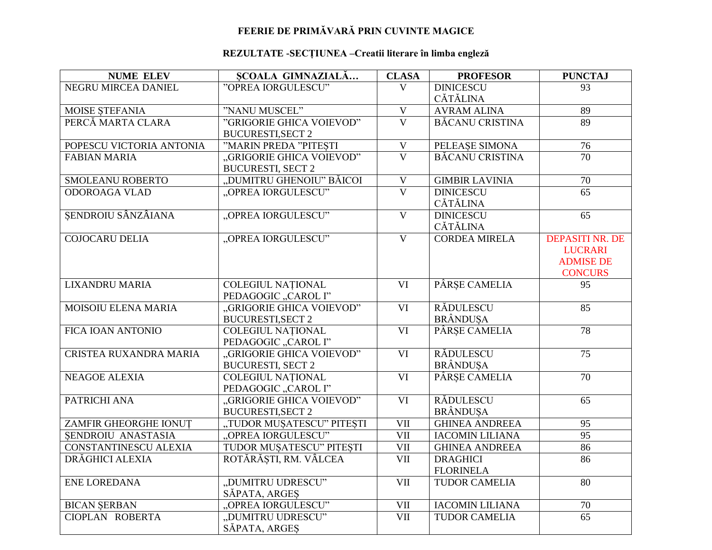## FEERIE DE PRIMĂVARĂ PRIN CUVINTE MAGICE

## REZULTATE -SECȚIUNEA -Creatii literare în limba engleză

| <b>NUME ELEV</b>             | SCOALA GIMNAZIALĂ                               | <b>CLASA</b>            | <b>PROFESOR</b>        | <b>PUNCTAJ</b>         |
|------------------------------|-------------------------------------------------|-------------------------|------------------------|------------------------|
| <b>NEGRU MIRCEA DANIEL</b>   | "OPREA IORGULESCU"                              | $\overline{V}$          | <b>DINICESCU</b>       | 93                     |
|                              |                                                 |                         | CĂTĂLINA               |                        |
| <b>MOISE STEFANIA</b>        | "NANU MUSCEL"                                   | $\overline{\mathbf{V}}$ | <b>AVRAM ALINA</b>     | 89                     |
| PERCĂ MARTA CLARA            | "GRIGORIE GHICA VOIEVOD"                        | $\overline{\mathbf{V}}$ | <b>BĂCANU CRISTINA</b> | 89                     |
|                              | <b>BUCURESTI, SECT 2</b>                        |                         |                        |                        |
| POPESCU VICTORIA ANTONIA     | "MARIN PREDA "PITESTI                           | $\mathbf V$             | PELEASE SIMONA         | 76                     |
| <b>FABIAN MARIA</b>          | "GRIGORIE GHICA VOIEVOD"                        | $\overline{\mathbf{V}}$ | <b>BĂCANU CRISTINA</b> | $\overline{70}$        |
|                              | <b>BUCURESTI, SECT 2</b>                        |                         |                        |                        |
| <b>SMOLEANU ROBERTO</b>      | "DUMITRU GHENOIU" BĂICOI                        | $\overline{\mathbf{V}}$ | <b>GIMBIR LAVINIA</b>  | $\overline{70}$        |
| <b>ODOROAGA VLAD</b>         | "OPREA IORGULESCU"                              | $\overline{\mathbf{V}}$ | <b>DINICESCU</b>       | $\overline{65}$        |
|                              |                                                 |                         | <b>CĂTĂLINA</b>        |                        |
| SENDROIU SÂNZÂIANA           | "OPREA IORGULESCU"                              | $\overline{\mathbf{V}}$ | <b>DINICESCU</b>       | $\overline{65}$        |
|                              |                                                 |                         | <b>CĂTĂLINA</b>        |                        |
| <b>COJOCARU DELIA</b>        | "OPREA IORGULESCU"                              | $\overline{\mathbf{V}}$ | <b>CORDEA MIRELA</b>   | <b>DEPASITI NR. DE</b> |
|                              |                                                 |                         |                        | <b>LUCRARI</b>         |
|                              |                                                 |                         |                        | <b>ADMISE DE</b>       |
|                              |                                                 |                         |                        | <b>CONCURS</b>         |
| <b>LIXANDRU MARIA</b>        | <b>COLEGIUL NATIONAL</b>                        | $\overline{\text{VI}}$  | PÂRȘE CAMELIA          | 95                     |
|                              | PEDAGOGIC "CAROL I"                             |                         |                        |                        |
| MOISOIU ELENA MARIA          | "GRIGORIE GHICA VOIEVOD"                        | $\overline{\text{VI}}$  | <b>RĂDULESCU</b>       | $\overline{85}$        |
|                              | <b>BUCURESTI, SECT 2</b>                        |                         | <b>BRÂNDUSA</b>        |                        |
| FICA IOAN ANTONIO            | <b>COLEGIUL NATIONAL</b>                        | $\overline{\text{VI}}$  | PÂRSE CAMELIA          | 78                     |
| CRISTEA RUXANDRA MARIA       | PEDAGOGIC "CAROL I"<br>"GRIGORIE GHICA VOIEVOD" | VI                      | <b>RĂDULESCU</b>       | 75                     |
|                              | <b>BUCURESTI, SECT 2</b>                        |                         | <b>BRÂNDUSA</b>        |                        |
| <b>NEAGOE ALEXIA</b>         | <b>COLEGIUL NATIONAL</b>                        | VI                      | PÂRȘE CAMELIA          | $\overline{70}$        |
|                              | PEDAGOGIC "CAROL I"                             |                         |                        |                        |
| PATRICHI ANA                 | "GRIGORIE GHICA VOIEVOD"                        | $\overline{\text{VI}}$  | <b>RĂDULESCU</b>       | 65                     |
|                              | <b>BUCURESTI, SECT 2</b>                        |                         | <b>BRÂNDUȘA</b>        |                        |
| ZAMFIR GHEORGHE IONUT        | "TUDOR MUŞATESCU" PITEŞTI                       | VII                     | <b>GHINEA ANDREEA</b>  | 95                     |
| SENDROIU ANASTASIA           | "OPREA IORGULESCU"                              | <b>VII</b>              | <b>IACOMIN LILIANA</b> | 95                     |
| <b>CONSTANTINESCU ALEXIA</b> | TUDOR MUŞATESCU" PITEŞTI                        | $\overline{\text{VII}}$ | <b>GHINEA ANDREEA</b>  | 86                     |
| DRĂGHICI ALEXIA              | ROTĂRĂȘTI, RM. VÂLCEA                           | $\overline{\text{VII}}$ | <b>DRAGHICI</b>        | $\overline{86}$        |
|                              |                                                 |                         | <b>FLORINELA</b>       |                        |
| <b>ENE LOREDANA</b>          | "DUMITRU UDRESCU"                               | $\overline{\text{VII}}$ | <b>TUDOR CAMELIA</b>   | 80                     |
|                              | SĂPATA, ARGEȘ                                   |                         |                        |                        |
| <b>BICAN ŞERBAN</b>          | "OPREA IORGULESCU"                              | <b>VII</b>              | <b>IACOMIN LILIANA</b> | 70                     |
| CIOPLAN ROBERTA              | "DUMITRU UDRESCU"                               | $\overline{\text{VII}}$ | <b>TUDOR CAMELIA</b>   | $\overline{65}$        |
|                              | SĂPATA, ARGES                                   |                         |                        |                        |